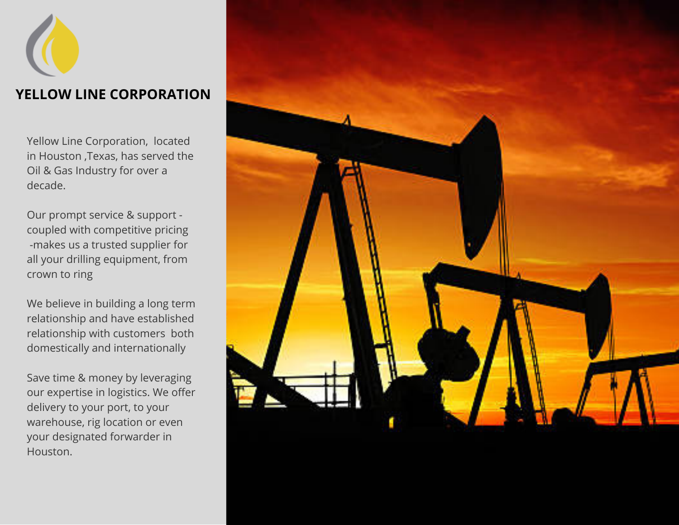# **YELLOW LINE CORPORATION**

Yellow Line Corporation, located in Houston ,Texas, has served the Oil & Gas Industry for over a decade.

Our prompt service & support coupled with competitive pricing -makes us a trusted supplier for all your drilling equipment, from crown to ring

We believe in building a long term relationship and have established relationship with customers both domestically and internationally

Save time & money by leveraging our expertise in logistics. We offer delivery to your port, to your warehouse, rig location or even your designated forwarder in Houston.

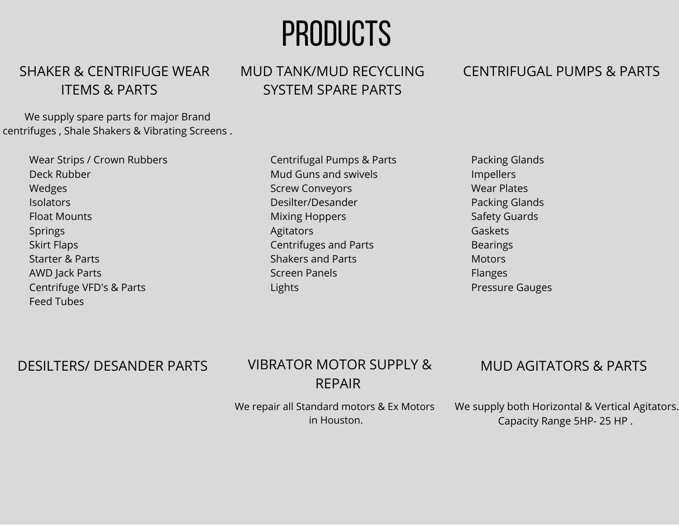# PRODUCTS

#### SHAKER & CENTRIFUGE WEAR ITEMS & PARTS

We supply spare parts for major Brand centrifuges , Shale Shakers & Vibrating Screens .

> Wear Strips / Crown Rubbers Deck Rubber Wedges **Isolators** Float Mounts Springs Skirt Flaps Starter & Parts AWD Jack Parts Centrifuge VFD's & Parts Feed Tubes

MUD TANK/MUD RECYCLING SYSTEM SPARE PARTS

> Centrifugal Pumps & Parts Mud Guns and swivels Screw Conveyors Desilter/Desander Mixing Hoppers **Agitators** Centrifuges and Parts Shakers and Parts Screen Panels Lights

Packing Glands Impellers Wear Plates Packing Glands Safety Guards Gaskets Bearings **Motors** Flanges Pressure Gauges

#### DESILTERS/ DESANDER PARTS

## VIBRATOR MOTOR SUPPLY & REPAIR

#### MUD AGITATORS & PARTS

We repair all Standard motors & Ex Motors in Houston.

We supply both Horizontal & Vertical Agitators. Capacity Range 5HP- 25 HP .

#### CENTRIFUGAL PUMPS & PARTS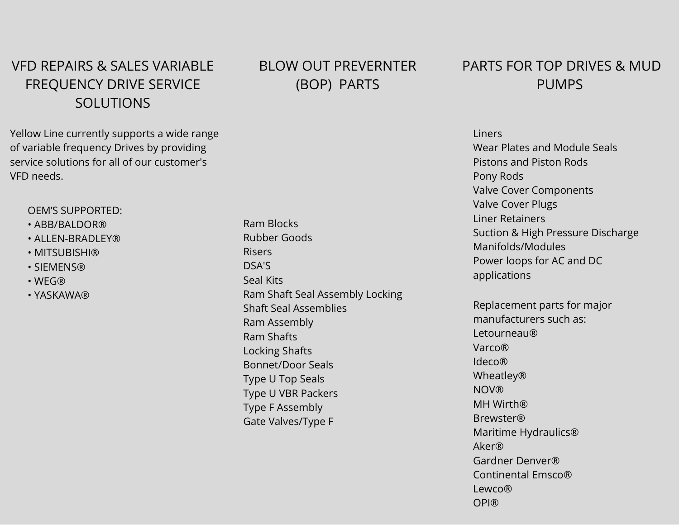## VFD REPAIRS & SALES VARIABLE FREQUENCY DRIVE SERVICE SOLUTIONS

Yellow Line currently supports a wide range of variable frequency Drives by providing service solutions for all of our customer's VFD needs.

#### OEM'S SUPPORTED:

- ABB/BALDOR®
- ALLEN-BRADLEY®
- MITSUBISHI®
- SIEMENS®
- WEG®
- YASKAWA®

#### BLOW OUT PREVERNTER (BOP) PARTS

Ram Blocks Rubber Goods Risers DSA'S Seal Kits Ram Shaft Seal Assembly Locking Shaft Seal Assemblies Ram Assembly Ram Shafts Locking Shafts Bonnet/Door Seals Type U Top Seals Type U VBR Packers Type F Assembly Gate Valves/Type F

#### PARTS FOR TOP DRIVES & MUD PUMPS

Liners Wear Plates and Module Seals Pistons and Piston Rods Pony Rods Valve Cover Components Valve Cover Plugs Liner Retainers Suction & High Pressure Discharge Manifolds/Modules Power loops for AC and DC applications

Replacement parts for major manufacturers such as: Letourneau® Varco® Ideco® Wheatley® **NOV®** MH Wirth® Brewster® Maritime Hydraulics® Aker® Gardner Denver® Continental Emsco® Lewco® OPI®